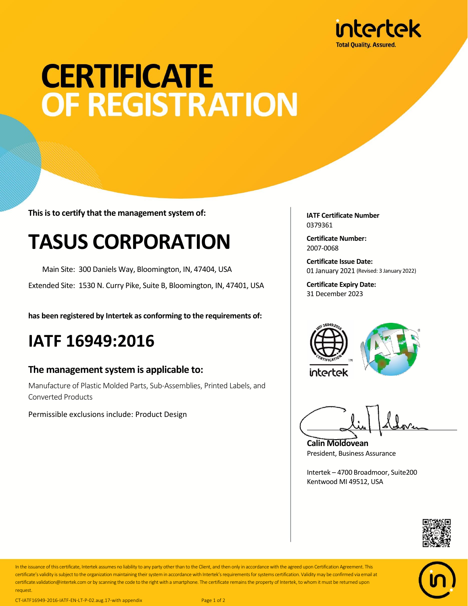

# **CERTIFICATE OF REGISTRATION**

**This is to certify that the management system of:**

## **TASUS CORPORATION**

Main Site: 300 Daniels Way, Bloomington, IN, 47404, USA

Extended Site: 1530 N. Curry Pike, Suite B, Bloomington, IN, 47401, USA

**has been registered by Intertek as conforming to the requirements of:**

### **IATF 16949:2016**

#### **The management system is applicable to:**

Manufacture of Plastic Molded Parts, Sub-Assemblies, Printed Labels, and Converted Products

Permissible exclusions include: Product Design

**IATF Certificate Number** 0379361

**Certificate Number:** 2007-0068

**Certificate Issue Date:** 01 January 2021 (Revised: 3 January 2022)

**Certificate Expiry Date:** 31 December 2023



**Calin Moldovean** President, Business Assurance

Intertek – 4700 Broadmoor, Suite200 Kentwood MI 49512, USA





In the issuance of this certificate, Intertek assumes no liability to any party other than to the Client, and then only in accordance with the agreed upon Certification Agreement. This certificate's validity is subject to the organization maintaining their system in accordance with Intertek's requirements forsystems certification. Validity may be confirmed via email at certificate.validation@intertek.com or by scanning the code to the right with a smartphone. The certificate remains the property of Intertek, to whom it must be returned upon request.